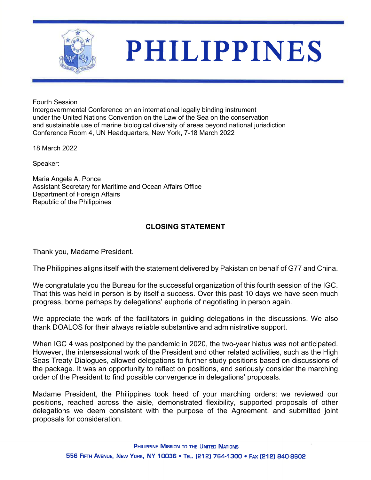

## **PHILIPPINES**

Fourth Session

Intergovernmental Conference on an international legally binding instrument under the United Nations Convention on the Law of the Sea on the conservation and sustainable use of marine biological diversity of areas beyond national jurisdiction Conference Room 4, UN Headquarters, New York, 7-18 March 2022

18 March 2022

Speaker:

Maria Angela A. Ponce Assistant Secretary for Maritime and Ocean Affairs Office Department of Foreign Affairs Republic of the Philippines

## **CLOSING STATEMENT**

Thank you, Madame President.

The Philippines aligns itself with the statement delivered by Pakistan on behalf of G77 and China.

We congratulate you the Bureau for the successful organization of this fourth session of the IGC. That this was held in person is by itself a success. Over this past 10 days we have seen much progress, borne perhaps by delegations' euphoria of negotiating in person again.

We appreciate the work of the facilitators in guiding delegations in the discussions. We also thank DOALOS for their always reliable substantive and administrative support.

When IGC 4 was postponed by the pandemic in 2020, the two-year hiatus was not anticipated. However, the intersessional work of the President and other related activities, such as the High Seas Treaty Dialogues, allowed delegations to further study positions based on discussions of the package. It was an opportunity to reflect on positions, and seriously consider the marching order of the President to find possible convergence in delegations' proposals.

Madame President, the Philippines took heed of your marching orders: we reviewed our positions, reached across the aisle, demonstrated flexibility, supported proposals of other delegations we deem consistent with the purpose of the Agreement, and submitted joint proposals for consideration.